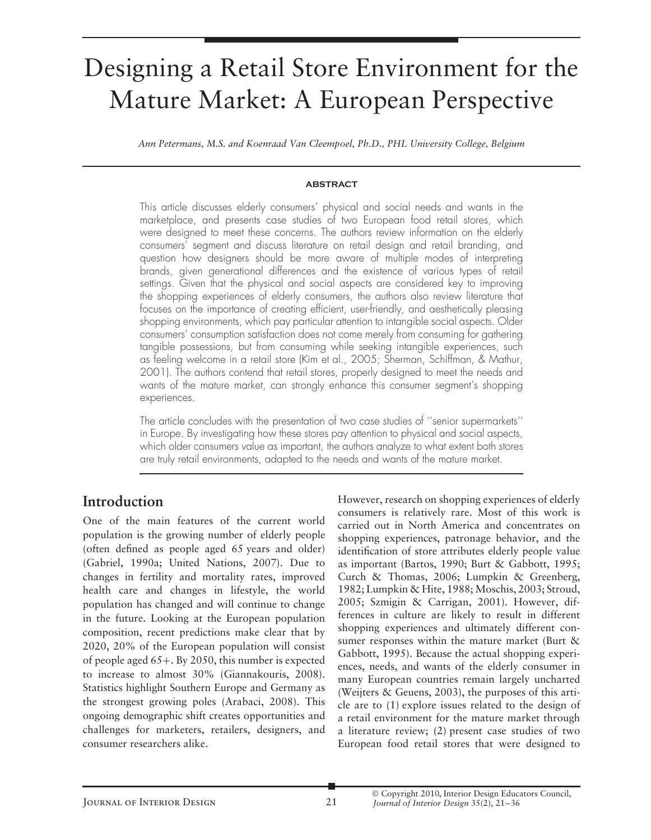# Designing a Retail Store Environment for the Mature Market: A European Perspective

*Ann Petermans, M.S. and Koenraad Van Cleempoel, Ph.D., PHL University College, Belgium*

### **ABSTRACT**

This article discusses elderly consumers' physical and social needs and wants in the marketplace, and presents case studies of two European food retail stores, which were designed to meet these concerns. The authors review information on the elderly consumers' segment and discuss literature on retail design and retail branding, and question how designers should be more aware of multiple modes of interpreting brands, given generational differences and the existence of various types of retail settings. Given that the physical and social aspects are considered key to improving the shopping experiences of elderly consumers, the authors also review literature that focuses on the importance of creating efficient, user-friendly, and aesthetically pleasing shopping environments, which pay particular attention to intangible social aspects. Older consumers' consumption satisfaction does not come merely from consuming for gathering tangible possessions, but from consuming while seeking intangible experiences, such as feeling welcome in a retail store (Kim et al., 2005; Sherman, Schiffman, & Mathur, 2001). The authors contend that retail stores, properly designed to meet the needs and wants of the mature market, can strongly enhance this consumer segment's shopping experiences.

The article concludes with the presentation of two case studies of ''senior supermarkets'' in Europe. By investigating how these stores pay attention to physical and social aspects, which older consumers value as important, the authors analyze to what extent both stores are truly retail environments, adapted to the needs and wants of the mature market.

# **Introduction**

One of the main features of the current world population is the growing number of elderly people (often defined as people aged 65 years and older) (Gabriel, 1990a; United Nations, 2007). Due to changes in fertility and mortality rates, improved health care and changes in lifestyle, the world population has changed and will continue to change in the future. Looking at the European population composition, recent predictions make clear that by 2020, 20% of the European population will consist of people aged 65+. By 2050, this number is expected to increase to almost 30% (Giannakouris, 2008). Statistics highlight Southern Europe and Germany as the strongest growing poles (Arabaci, 2008). This ongoing demographic shift creates opportunities and challenges for marketers, retailers, designers, and consumer researchers alike.

However, research on shopping experiences of elderly consumers is relatively rare. Most of this work is carried out in North America and concentrates on shopping experiences, patronage behavior, and the identification of store attributes elderly people value as important (Bartos, 1990; Burt & Gabbott, 1995; Curch & Thomas, 2006; Lumpkin & Greenberg, 1982; Lumpkin & Hite, 1988; Moschis, 2003; Stroud, 2005; Szmigin & Carrigan, 2001). However, differences in culture are likely to result in different shopping experiences and ultimately different consumer responses within the mature market (Burt & Gabbott, 1995). Because the actual shopping experiences, needs, and wants of the elderly consumer in many European countries remain largely uncharted (Weijters & Geuens, 2003), the purposes of this article are to (1) explore issues related to the design of a retail environment for the mature market through a literature review; (2) present case studies of two European food retail stores that were designed to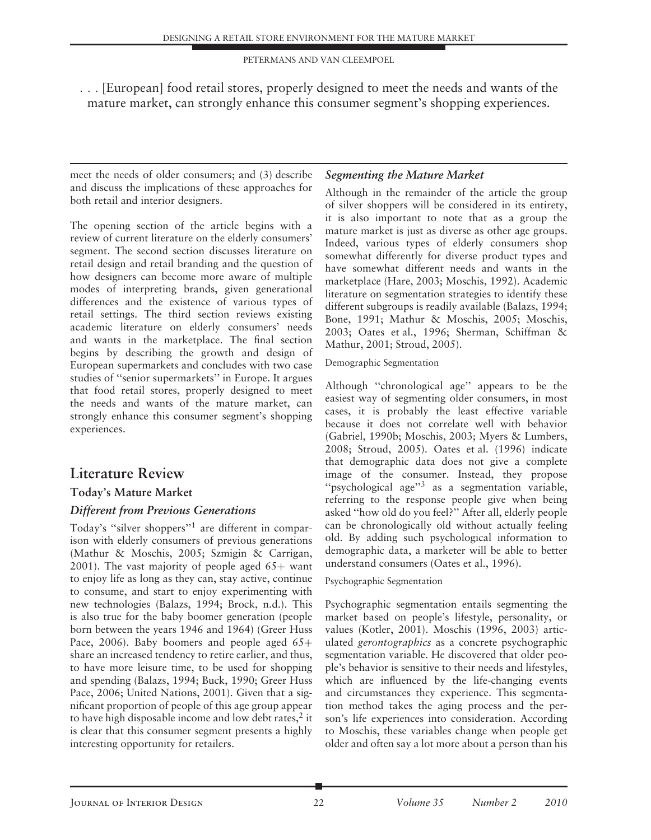*...* [European] food retail stores, properly designed to meet the needs and wants of the mature market, can strongly enhance this consumer segment's shopping experiences.

meet the needs of older consumers; and (3) describe and discuss the implications of these approaches for both retail and interior designers.

The opening section of the article begins with a review of current literature on the elderly consumers' segment. The second section discusses literature on retail design and retail branding and the question of how designers can become more aware of multiple modes of interpreting brands, given generational differences and the existence of various types of retail settings. The third section reviews existing academic literature on elderly consumers' needs and wants in the marketplace. The final section begins by describing the growth and design of European supermarkets and concludes with two case studies of ''senior supermarkets'' in Europe. It argues that food retail stores, properly designed to meet the needs and wants of the mature market, can strongly enhance this consumer segment's shopping experiences.

# **Literature Review**

# **Today's Mature Market**

# *Different from Previous Generations*

Today's "silver shoppers"<sup>1</sup> are different in comparison with elderly consumers of previous generations (Mathur & Moschis, 2005; Szmigin & Carrigan, 2001). The vast majority of people aged 65+ want to enjoy life as long as they can, stay active, continue to consume, and start to enjoy experimenting with new technologies (Balazs, 1994; Brock, n.d.). This is also true for the baby boomer generation (people born between the years 1946 and 1964) (Greer Huss Pace, 2006). Baby boomers and people aged  $65+$ share an increased tendency to retire earlier, and thus, to have more leisure time, to be used for shopping and spending (Balazs, 1994; Buck, 1990; Greer Huss Pace, 2006; United Nations, 2001). Given that a significant proportion of people of this age group appear to have high disposable income and low debt rates, $2$  it is clear that this consumer segment presents a highly interesting opportunity for retailers.

# *Segmenting the Mature Market*

Although in the remainder of the article the group of silver shoppers will be considered in its entirety, it is also important to note that as a group the mature market is just as diverse as other age groups. Indeed, various types of elderly consumers shop somewhat differently for diverse product types and have somewhat different needs and wants in the marketplace (Hare, 2003; Moschis, 1992). Academic literature on segmentation strategies to identify these different subgroups is readily available (Balazs, 1994; Bone, 1991; Mathur & Moschis, 2005; Moschis, 2003; Oates et al., 1996; Sherman, Schiffman & Mathur, 2001; Stroud, 2005).

Demographic Segmentation

Although ''chronological age'' appears to be the easiest way of segmenting older consumers, in most cases, it is probably the least effective variable because it does not correlate well with behavior (Gabriel, 1990b; Moschis, 2003; Myers & Lumbers, 2008; Stroud, 2005). Oates et al. (1996) indicate that demographic data does not give a complete image of the consumer. Instead, they propose "psychological age"<sup>3</sup> as a segmentation variable, referring to the response people give when being asked ''how old do you feel?'' After all, elderly people can be chronologically old without actually feeling old. By adding such psychological information to demographic data, a marketer will be able to better understand consumers (Oates et al., 1996).

# Psychographic Segmentation

Psychographic segmentation entails segmenting the market based on people's lifestyle, personality, or values (Kotler, 2001). Moschis (1996, 2003) articulated *gerontographics* as a concrete psychographic segmentation variable. He discovered that older people's behavior is sensitive to their needs and lifestyles, which are influenced by the life-changing events and circumstances they experience. This segmentation method takes the aging process and the person's life experiences into consideration. According to Moschis, these variables change when people get older and often say a lot more about a person than his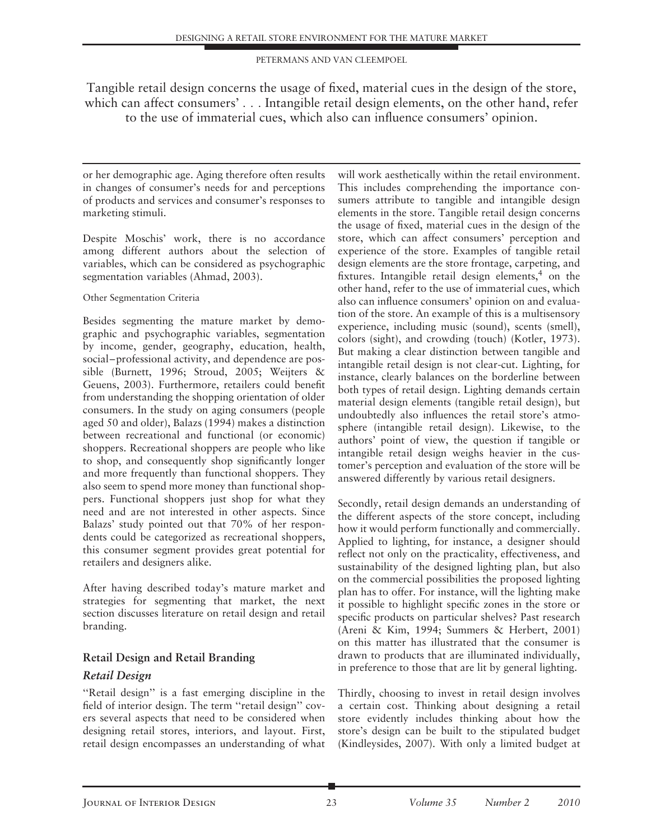Tangible retail design concerns the usage of fixed, material cues in the design of the store, which can affect consumers' *...* Intangible retail design elements, on the other hand, refer to the use of immaterial cues, which also can influence consumers' opinion.

or her demographic age. Aging therefore often results in changes of consumer's needs for and perceptions of products and services and consumer's responses to marketing stimuli.

Despite Moschis' work, there is no accordance among different authors about the selection of variables, which can be considered as psychographic segmentation variables (Ahmad, 2003).

### Other Segmentation Criteria

Besides segmenting the mature market by demographic and psychographic variables, segmentation by income, gender, geography, education, health, social–professional activity, and dependence are possible (Burnett, 1996; Stroud, 2005; Weijters & Geuens, 2003). Furthermore, retailers could benefit from understanding the shopping orientation of older consumers. In the study on aging consumers (people aged 50 and older), Balazs (1994) makes a distinction between recreational and functional (or economic) shoppers. Recreational shoppers are people who like to shop, and consequently shop significantly longer and more frequently than functional shoppers. They also seem to spend more money than functional shoppers. Functional shoppers just shop for what they need and are not interested in other aspects. Since Balazs' study pointed out that 70% of her respondents could be categorized as recreational shoppers, this consumer segment provides great potential for retailers and designers alike.

After having described today's mature market and strategies for segmenting that market, the next section discusses literature on retail design and retail branding.

# **Retail Design and Retail Branding**

# *Retail Design*

''Retail design'' is a fast emerging discipline in the field of interior design. The term ''retail design'' covers several aspects that need to be considered when designing retail stores, interiors, and layout. First, retail design encompasses an understanding of what

will work aesthetically within the retail environment. This includes comprehending the importance consumers attribute to tangible and intangible design elements in the store. Tangible retail design concerns the usage of fixed, material cues in the design of the store, which can affect consumers' perception and experience of the store. Examples of tangible retail design elements are the store frontage, carpeting, and fixtures. Intangible retail design elements, $4$  on the other hand, refer to the use of immaterial cues, which also can influence consumers' opinion on and evaluation of the store. An example of this is a multisensory experience, including music (sound), scents (smell), colors (sight), and crowding (touch) (Kotler, 1973). But making a clear distinction between tangible and intangible retail design is not clear-cut. Lighting, for instance, clearly balances on the borderline between both types of retail design. Lighting demands certain material design elements (tangible retail design), but undoubtedly also influences the retail store's atmosphere (intangible retail design). Likewise, to the authors' point of view, the question if tangible or intangible retail design weighs heavier in the customer's perception and evaluation of the store will be answered differently by various retail designers.

Secondly, retail design demands an understanding of the different aspects of the store concept, including how it would perform functionally and commercially. Applied to lighting, for instance, a designer should reflect not only on the practicality, effectiveness, and sustainability of the designed lighting plan, but also on the commercial possibilities the proposed lighting plan has to offer. For instance, will the lighting make it possible to highlight specific zones in the store or specific products on particular shelves? Past research (Areni & Kim, 1994; Summers & Herbert, 2001) on this matter has illustrated that the consumer is drawn to products that are illuminated individually, in preference to those that are lit by general lighting.

Thirdly, choosing to invest in retail design involves a certain cost. Thinking about designing a retail store evidently includes thinking about how the store's design can be built to the stipulated budget (Kindleysides, 2007). With only a limited budget at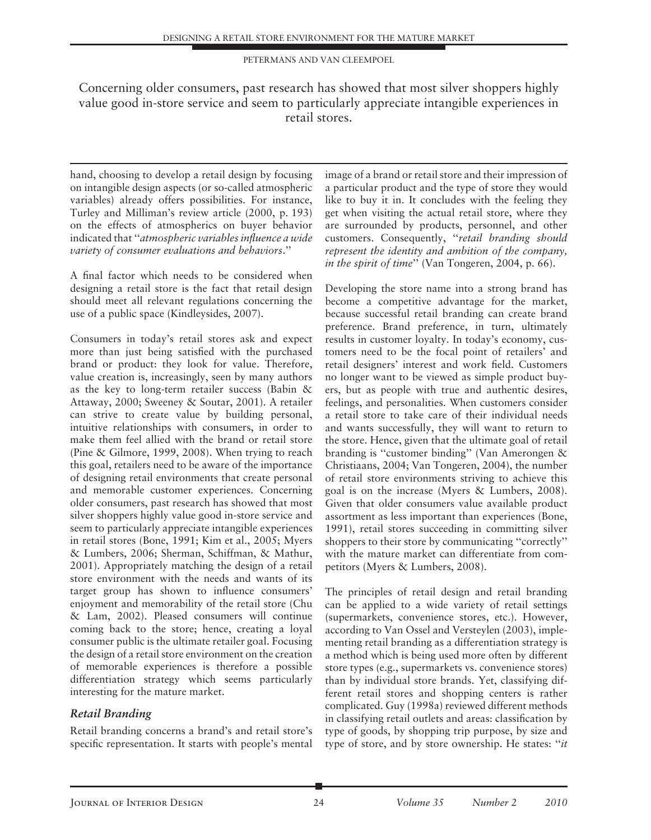Concerning older consumers, past research has showed that most silver shoppers highly value good in-store service and seem to particularly appreciate intangible experiences in retail stores.

hand, choosing to develop a retail design by focusing on intangible design aspects (or so-called atmospheric variables) already offers possibilities. For instance, Turley and Milliman's review article (2000, p. 193) on the effects of atmospherics on buyer behavior indicated that ''*atmospheric variables influence a wide variety of consumer evaluations and behaviors*.''

A final factor which needs to be considered when designing a retail store is the fact that retail design should meet all relevant regulations concerning the use of a public space (Kindleysides, 2007).

Consumers in today's retail stores ask and expect more than just being satisfied with the purchased brand or product: they look for value. Therefore, value creation is, increasingly, seen by many authors as the key to long-term retailer success (Babin & Attaway, 2000; Sweeney & Soutar, 2001). A retailer can strive to create value by building personal, intuitive relationships with consumers, in order to make them feel allied with the brand or retail store (Pine & Gilmore, 1999, 2008). When trying to reach this goal, retailers need to be aware of the importance of designing retail environments that create personal and memorable customer experiences. Concerning older consumers, past research has showed that most silver shoppers highly value good in-store service and seem to particularly appreciate intangible experiences in retail stores (Bone, 1991; Kim et al., 2005; Myers & Lumbers, 2006; Sherman, Schiffman, & Mathur, 2001). Appropriately matching the design of a retail store environment with the needs and wants of its target group has shown to influence consumers' enjoyment and memorability of the retail store (Chu & Lam, 2002). Pleased consumers will continue coming back to the store; hence, creating a loyal consumer public is the ultimate retailer goal. Focusing the design of a retail store environment on the creation of memorable experiences is therefore a possible differentiation strategy which seems particularly interesting for the mature market.

# *Retail Branding*

Retail branding concerns a brand's and retail store's specific representation. It starts with people's mental

image of a brand or retail store and their impression of a particular product and the type of store they would like to buy it in. It concludes with the feeling they get when visiting the actual retail store, where they are surrounded by products, personnel, and other customers. Consequently, ''*retail branding should represent the identity and ambition of the company, in the spirit of time*'' (Van Tongeren, 2004, p. 66).

Developing the store name into a strong brand has become a competitive advantage for the market, because successful retail branding can create brand preference. Brand preference, in turn, ultimately results in customer loyalty. In today's economy, customers need to be the focal point of retailers' and retail designers' interest and work field. Customers no longer want to be viewed as simple product buyers, but as people with true and authentic desires, feelings, and personalities. When customers consider a retail store to take care of their individual needs and wants successfully, they will want to return to the store. Hence, given that the ultimate goal of retail branding is "customer binding" (Van Amerongen & Christiaans, 2004; Van Tongeren, 2004), the number of retail store environments striving to achieve this goal is on the increase (Myers & Lumbers, 2008). Given that older consumers value available product assortment as less important than experiences (Bone, 1991), retail stores succeeding in committing silver shoppers to their store by communicating ''correctly'' with the mature market can differentiate from competitors (Myers & Lumbers, 2008).

The principles of retail design and retail branding can be applied to a wide variety of retail settings (supermarkets, convenience stores, etc.). However, according to Van Ossel and Versteylen (2003), implementing retail branding as a differentiation strategy is a method which is being used more often by different store types (e.g., supermarkets vs. convenience stores) than by individual store brands. Yet, classifying different retail stores and shopping centers is rather complicated. Guy (1998a) reviewed different methods in classifying retail outlets and areas: classification by type of goods, by shopping trip purpose, by size and type of store, and by store ownership. He states: ''*it*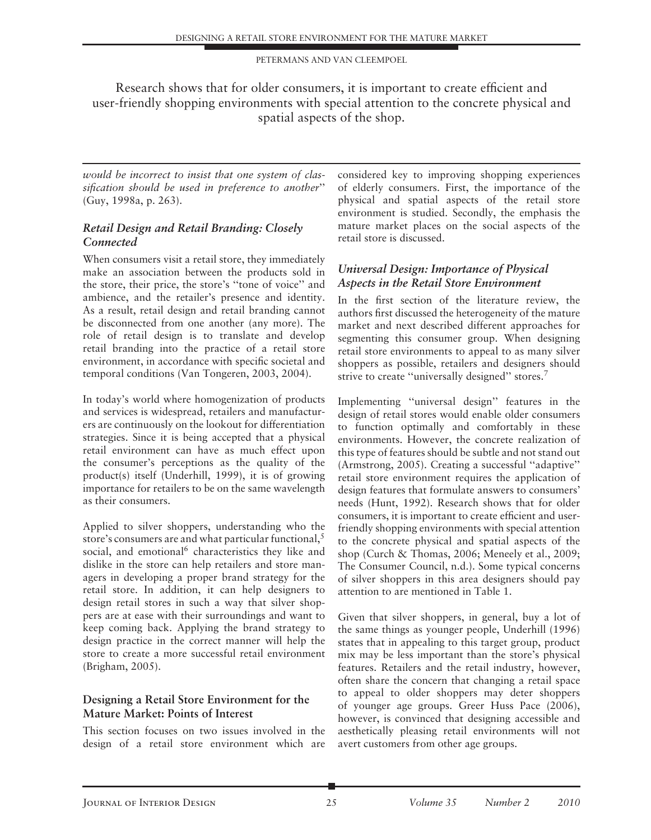Research shows that for older consumers, it is important to create efficient and user-friendly shopping environments with special attention to the concrete physical and spatial aspects of the shop.

*would be incorrect to insist that one system of classification should be used in preference to another*'' (Guy, 1998a, p. 263).

# *Retail Design and Retail Branding: Closely Connected*

When consumers visit a retail store, they immediately make an association between the products sold in the store, their price, the store's ''tone of voice'' and ambience, and the retailer's presence and identity. As a result, retail design and retail branding cannot be disconnected from one another (any more). The role of retail design is to translate and develop retail branding into the practice of a retail store environment, in accordance with specific societal and temporal conditions (Van Tongeren, 2003, 2004).

In today's world where homogenization of products and services is widespread, retailers and manufacturers are continuously on the lookout for differentiation strategies. Since it is being accepted that a physical retail environment can have as much effect upon the consumer's perceptions as the quality of the product(s) itself (Underhill, 1999), it is of growing importance for retailers to be on the same wavelength as their consumers.

Applied to silver shoppers, understanding who the store's consumers are and what particular functional,<sup>5</sup> social, and emotional<sup>6</sup> characteristics they like and dislike in the store can help retailers and store managers in developing a proper brand strategy for the retail store. In addition, it can help designers to design retail stores in such a way that silver shoppers are at ease with their surroundings and want to keep coming back. Applying the brand strategy to design practice in the correct manner will help the store to create a more successful retail environment (Brigham, 2005).

# **Designing a Retail Store Environment for the Mature Market: Points of Interest**

This section focuses on two issues involved in the design of a retail store environment which are considered key to improving shopping experiences of elderly consumers. First, the importance of the physical and spatial aspects of the retail store environment is studied. Secondly, the emphasis the mature market places on the social aspects of the retail store is discussed.

# *Universal Design: Importance of Physical Aspects in the Retail Store Environment*

In the first section of the literature review, the authors first discussed the heterogeneity of the mature market and next described different approaches for segmenting this consumer group. When designing retail store environments to appeal to as many silver shoppers as possible, retailers and designers should strive to create "universally designed" stores.<sup>7</sup>

Implementing ''universal design'' features in the design of retail stores would enable older consumers to function optimally and comfortably in these environments. However, the concrete realization of this type of features should be subtle and not stand out (Armstrong, 2005). Creating a successful ''adaptive'' retail store environment requires the application of design features that formulate answers to consumers' needs (Hunt, 1992). Research shows that for older consumers, it is important to create efficient and userfriendly shopping environments with special attention to the concrete physical and spatial aspects of the shop (Curch & Thomas, 2006; Meneely et al., 2009; The Consumer Council, n.d.). Some typical concerns of silver shoppers in this area designers should pay attention to are mentioned in Table 1.

Given that silver shoppers, in general, buy a lot of the same things as younger people, Underhill (1996) states that in appealing to this target group, product mix may be less important than the store's physical features. Retailers and the retail industry, however, often share the concern that changing a retail space to appeal to older shoppers may deter shoppers of younger age groups. Greer Huss Pace (2006), however, is convinced that designing accessible and aesthetically pleasing retail environments will not avert customers from other age groups.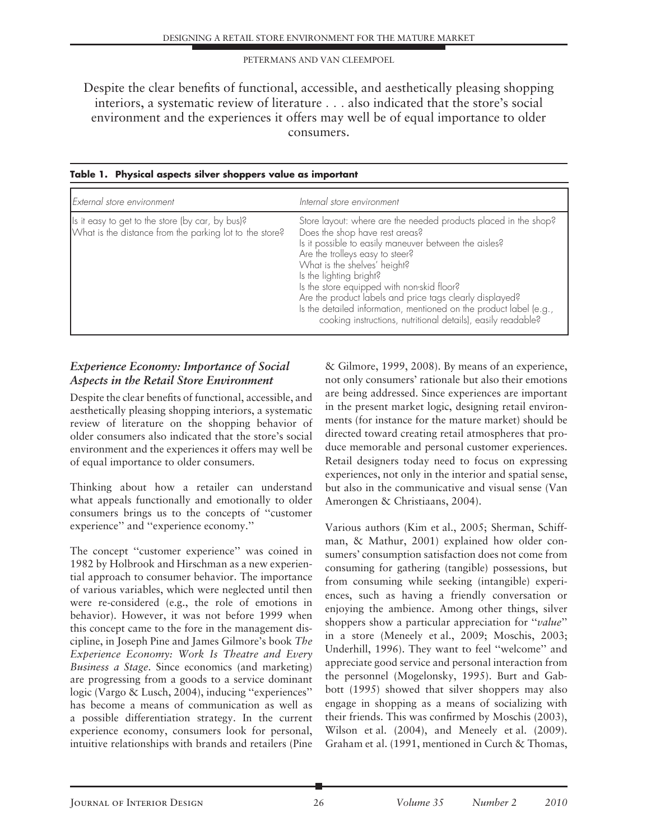Despite the clear benefits of functional, accessible, and aesthetically pleasing shopping interiors, a systematic review of literature *...* also indicated that the store's social environment and the experiences it offers may well be of equal importance to older consumers.

| External store environment                                                                                  | Internal store environment                                                                                                                                                                                                                                                                                                                                                                                                                                                                               |
|-------------------------------------------------------------------------------------------------------------|----------------------------------------------------------------------------------------------------------------------------------------------------------------------------------------------------------------------------------------------------------------------------------------------------------------------------------------------------------------------------------------------------------------------------------------------------------------------------------------------------------|
| Is it easy to get to the store (by car, by bus)?<br>What is the distance from the parking lot to the store? | Store layout: where are the needed products placed in the shop?<br>Does the shop have rest areas?<br>Is it possible to easily maneuver between the aisles?<br>Are the trolleys easy to steer?<br>What is the shelves' height?<br>Is the lighting bright?<br>Is the store equipped with non-skid floor?<br>Are the product labels and price tags clearly displayed?<br>Is the detailed information, mentioned on the product label (e.g.,<br>cooking instructions, nutritional details), easily readable? |

|  |  |  | Table 1.Physical aspects silver shoppers value as important |
|--|--|--|-------------------------------------------------------------|
|  |  |  |                                                             |

# *Experience Economy: Importance of Social Aspects in the Retail Store Environment*

Despite the clear benefits of functional, accessible, and aesthetically pleasing shopping interiors, a systematic review of literature on the shopping behavior of older consumers also indicated that the store's social environment and the experiences it offers may well be of equal importance to older consumers.

Thinking about how a retailer can understand what appeals functionally and emotionally to older consumers brings us to the concepts of ''customer experience'' and ''experience economy.''

The concept ''customer experience'' was coined in 1982 by Holbrook and Hirschman as a new experiential approach to consumer behavior. The importance of various variables, which were neglected until then were re-considered (e.g., the role of emotions in behavior). However, it was not before 1999 when this concept came to the fore in the management discipline, in Joseph Pine and James Gilmore's book *The Experience Economy: Work Is Theatre and Every Business a Stage*. Since economics (and marketing) are progressing from a goods to a service dominant logic (Vargo & Lusch, 2004), inducing ''experiences'' has become a means of communication as well as a possible differentiation strategy. In the current experience economy, consumers look for personal, intuitive relationships with brands and retailers (Pine

& Gilmore, 1999, 2008). By means of an experience, not only consumers' rationale but also their emotions are being addressed. Since experiences are important in the present market logic, designing retail environments (for instance for the mature market) should be directed toward creating retail atmospheres that produce memorable and personal customer experiences. Retail designers today need to focus on expressing experiences, not only in the interior and spatial sense, but also in the communicative and visual sense (Van Amerongen & Christiaans, 2004).

Various authors (Kim et al., 2005; Sherman, Schiffman, & Mathur, 2001) explained how older consumers' consumption satisfaction does not come from consuming for gathering (tangible) possessions, but from consuming while seeking (intangible) experiences, such as having a friendly conversation or enjoying the ambience. Among other things, silver shoppers show a particular appreciation for ''*value*'' in a store (Meneely et al., 2009; Moschis, 2003; Underhill, 1996). They want to feel ''welcome'' and appreciate good service and personal interaction from the personnel (Mogelonsky, 1995). Burt and Gabbott (1995) showed that silver shoppers may also engage in shopping as a means of socializing with their friends. This was confirmed by Moschis (2003), Wilson et al. (2004), and Meneely et al. (2009). Graham et al. (1991, mentioned in Curch & Thomas,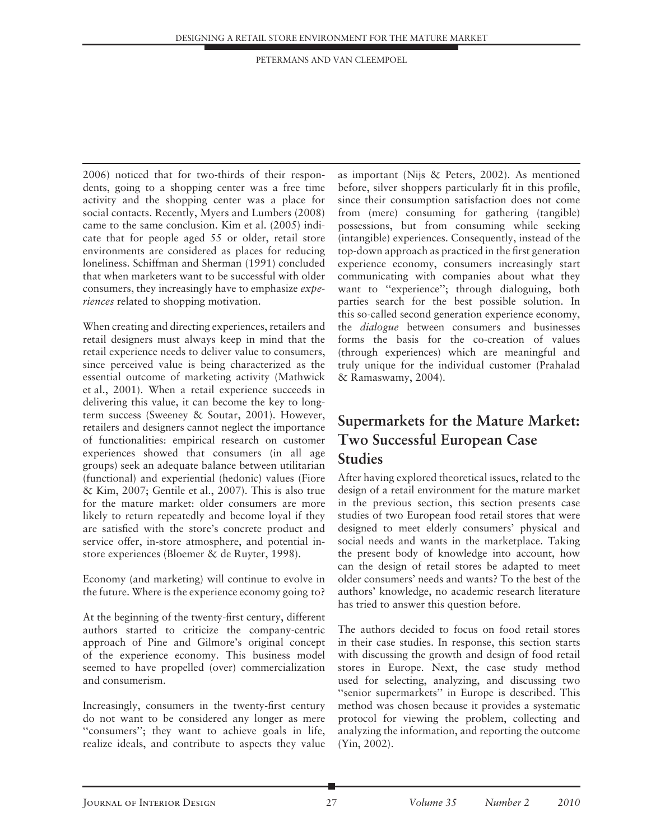2006) noticed that for two-thirds of their respondents, going to a shopping center was a free time activity and the shopping center was a place for social contacts. Recently, Myers and Lumbers (2008) came to the same conclusion. Kim et al. (2005) indicate that for people aged 55 or older, retail store environments are considered as places for reducing loneliness. Schiffman and Sherman (1991) concluded that when marketers want to be successful with older consumers, they increasingly have to emphasize *experiences* related to shopping motivation.

When creating and directing experiences, retailers and retail designers must always keep in mind that the retail experience needs to deliver value to consumers, since perceived value is being characterized as the essential outcome of marketing activity (Mathwick et al., 2001). When a retail experience succeeds in delivering this value, it can become the key to longterm success (Sweeney & Soutar, 2001). However, retailers and designers cannot neglect the importance of functionalities: empirical research on customer experiences showed that consumers (in all age groups) seek an adequate balance between utilitarian (functional) and experiential (hedonic) values (Fiore & Kim, 2007; Gentile et al., 2007). This is also true for the mature market: older consumers are more likely to return repeatedly and become loyal if they are satisfied with the store's concrete product and service offer, in-store atmosphere, and potential instore experiences (Bloemer & de Ruyter, 1998).

Economy (and marketing) will continue to evolve in the future. Where is the experience economy going to?

At the beginning of the twenty-first century, different authors started to criticize the company-centric approach of Pine and Gilmore's original concept of the experience economy. This business model seemed to have propelled (over) commercialization and consumerism.

Increasingly, consumers in the twenty-first century do not want to be considered any longer as mere ''consumers''; they want to achieve goals in life, realize ideals, and contribute to aspects they value

as important (Nijs & Peters, 2002). As mentioned before, silver shoppers particularly fit in this profile, since their consumption satisfaction does not come from (mere) consuming for gathering (tangible) possessions, but from consuming while seeking (intangible) experiences. Consequently, instead of the top-down approach as practiced in the first generation experience economy, consumers increasingly start communicating with companies about what they want to ''experience''; through dialoguing, both parties search for the best possible solution. In this so-called second generation experience economy, the *dialogue* between consumers and businesses forms the basis for the co-creation of values (through experiences) which are meaningful and truly unique for the individual customer (Prahalad & Ramaswamy, 2004).

# **Supermarkets for the Mature Market: Two Successful European Case Studies**

After having explored theoretical issues, related to the design of a retail environment for the mature market in the previous section, this section presents case studies of two European food retail stores that were designed to meet elderly consumers' physical and social needs and wants in the marketplace. Taking the present body of knowledge into account, how can the design of retail stores be adapted to meet older consumers' needs and wants? To the best of the authors' knowledge, no academic research literature has tried to answer this question before.

The authors decided to focus on food retail stores in their case studies. In response, this section starts with discussing the growth and design of food retail stores in Europe. Next, the case study method used for selecting, analyzing, and discussing two "senior supermarkets" in Europe is described. This method was chosen because it provides a systematic protocol for viewing the problem, collecting and analyzing the information, and reporting the outcome (Yin, 2002).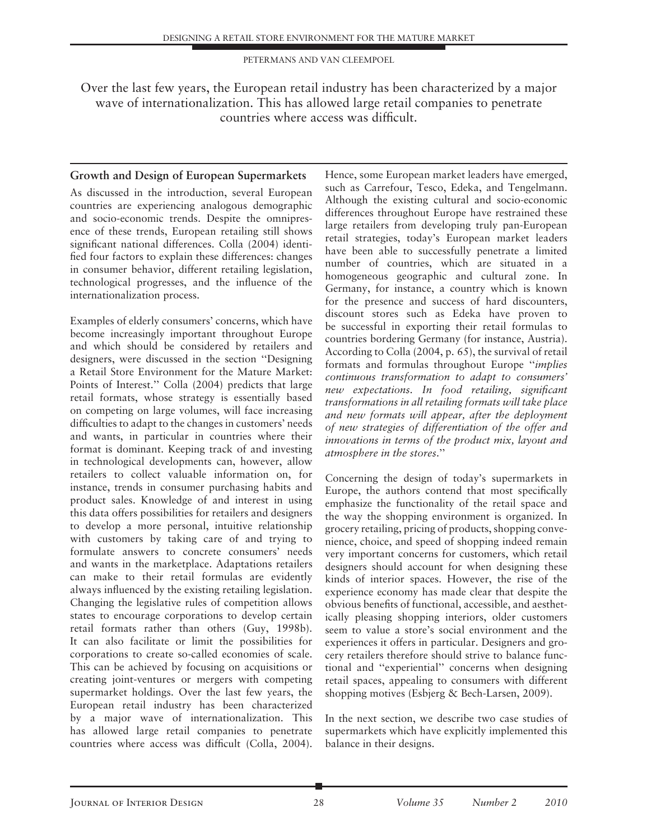Over the last few years, the European retail industry has been characterized by a major wave of internationalization. This has allowed large retail companies to penetrate countries where access was difficult.

## **Growth and Design of European Supermarkets**

As discussed in the introduction, several European countries are experiencing analogous demographic and socio-economic trends. Despite the omnipresence of these trends, European retailing still shows significant national differences. Colla (2004) identified four factors to explain these differences: changes in consumer behavior, different retailing legislation, technological progresses, and the influence of the internationalization process.

Examples of elderly consumers' concerns, which have become increasingly important throughout Europe and which should be considered by retailers and designers, were discussed in the section ''Designing a Retail Store Environment for the Mature Market: Points of Interest.'' Colla (2004) predicts that large retail formats, whose strategy is essentially based on competing on large volumes, will face increasing difficulties to adapt to the changes in customers' needs and wants, in particular in countries where their format is dominant. Keeping track of and investing in technological developments can, however, allow retailers to collect valuable information on, for instance, trends in consumer purchasing habits and product sales. Knowledge of and interest in using this data offers possibilities for retailers and designers to develop a more personal, intuitive relationship with customers by taking care of and trying to formulate answers to concrete consumers' needs and wants in the marketplace. Adaptations retailers can make to their retail formulas are evidently always influenced by the existing retailing legislation. Changing the legislative rules of competition allows states to encourage corporations to develop certain retail formats rather than others (Guy, 1998b). It can also facilitate or limit the possibilities for corporations to create so-called economies of scale. This can be achieved by focusing on acquisitions or creating joint-ventures or mergers with competing supermarket holdings. Over the last few years, the European retail industry has been characterized by a major wave of internationalization. This has allowed large retail companies to penetrate countries where access was difficult (Colla, 2004).

Hence, some European market leaders have emerged, such as Carrefour, Tesco, Edeka, and Tengelmann. Although the existing cultural and socio-economic differences throughout Europe have restrained these large retailers from developing truly pan-European retail strategies, today's European market leaders have been able to successfully penetrate a limited number of countries, which are situated in a homogeneous geographic and cultural zone. In Germany, for instance, a country which is known for the presence and success of hard discounters, discount stores such as Edeka have proven to be successful in exporting their retail formulas to countries bordering Germany (for instance, Austria). According to Colla (2004, p. 65), the survival of retail formats and formulas throughout Europe ''*implies continuous transformation to adapt to consumers' new expectations. In food retailing, significant transformations in all retailing formats will take place and new formats will appear, after the deployment of new strategies of differentiation of the offer and innovations in terms of the product mix, layout and atmosphere in the stores*.''

Concerning the design of today's supermarkets in Europe, the authors contend that most specifically emphasize the functionality of the retail space and the way the shopping environment is organized. In grocery retailing, pricing of products, shopping convenience, choice, and speed of shopping indeed remain very important concerns for customers, which retail designers should account for when designing these kinds of interior spaces. However, the rise of the experience economy has made clear that despite the obvious benefits of functional, accessible, and aesthetically pleasing shopping interiors, older customers seem to value a store's social environment and the experiences it offers in particular. Designers and grocery retailers therefore should strive to balance functional and ''experiential'' concerns when designing retail spaces, appealing to consumers with different shopping motives (Esbjerg & Bech-Larsen, 2009).

In the next section, we describe two case studies of supermarkets which have explicitly implemented this balance in their designs.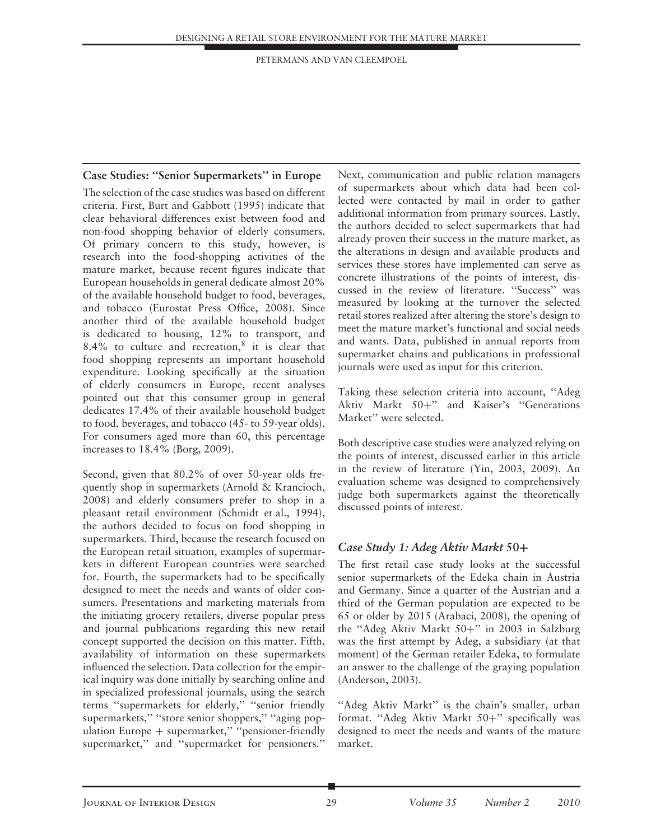# **Case Studies: ''Senior Supermarkets'' in Europe**

The selection of the case studies was based on different criteria. First, Burt and Gabbott (1995) indicate that clear behavioral differences exist between food and non-food shopping behavior of elderly consumers. Of primary concern to this study, however, is research into the food-shopping activities of the mature market, because recent figures indicate that European households in general dedicate almost 20% of the available household budget to food, beverages, and tobacco (Eurostat Press Office, 2008). Since another third of the available household budget is dedicated to housing, 12% to transport, and 8.4% to culture and recreation, $8$  it is clear that food shopping represents an important household expenditure. Looking specifically at the situation of elderly consumers in Europe, recent analyses pointed out that this consumer group in general dedicates 17.4% of their available household budget to food, beverages, and tobacco (45- to 59-year olds). For consumers aged more than 60, this percentage increases to 18.4% (Borg, 2009).

Second, given that 80.2% of over 50-year olds frequently shop in supermarkets (Arnold & Krancioch, 2008) and elderly consumers prefer to shop in a pleasant retail environment (Schmidt et al., 1994), the authors decided to focus on food shopping in supermarkets. Third, because the research focused on the European retail situation, examples of supermarkets in different European countries were searched for. Fourth, the supermarkets had to be specifically designed to meet the needs and wants of older consumers. Presentations and marketing materials from the initiating grocery retailers, diverse popular press and journal publications regarding this new retail concept supported the decision on this matter. Fifth, availability of information on these supermarkets influenced the selection. Data collection for the empirical inquiry was done initially by searching online and in specialized professional journals, using the search terms ''supermarkets for elderly,'' ''senior friendly supermarkets," "store senior shoppers," "aging population Europe + supermarket,'' ''pensioner-friendly supermarket," and "supermarket for pensioners."

Next, communication and public relation managers of supermarkets about which data had been collected were contacted by mail in order to gather additional information from primary sources. Lastly, the authors decided to select supermarkets that had already proven their success in the mature market, as the alterations in design and available products and services these stores have implemented can serve as concrete illustrations of the points of interest, discussed in the review of literature. ''Success'' was measured by looking at the turnover the selected retail stores realized after altering the store's design to meet the mature market's functional and social needs and wants. Data, published in annual reports from supermarket chains and publications in professional journals were used as input for this criterion.

Taking these selection criteria into account, ''Adeg Aktiv Markt 50+'' and Kaiser's ''Generations Market'' were selected.

Both descriptive case studies were analyzed relying on the points of interest, discussed earlier in this article in the review of literature (Yin, 2003, 2009). An evaluation scheme was designed to comprehensively judge both supermarkets against the theoretically discussed points of interest.

# *Case Study 1: Adeg Aktiv Markt* **50+**

The first retail case study looks at the successful senior supermarkets of the Edeka chain in Austria and Germany. Since a quarter of the Austrian and a third of the German population are expected to be 65 or older by 2015 (Arabaci, 2008), the opening of the "Adeg Aktiv Markt  $50+$ " in 2003 in Salzburg was the first attempt by Adeg, a subsidiary (at that moment) of the German retailer Edeka, to formulate an answer to the challenge of the graying population (Anderson, 2003).

"Adeg Aktiv Markt" is the chain's smaller, urban format. "Adeg Aktiv Markt 50+" specifically was designed to meet the needs and wants of the mature market.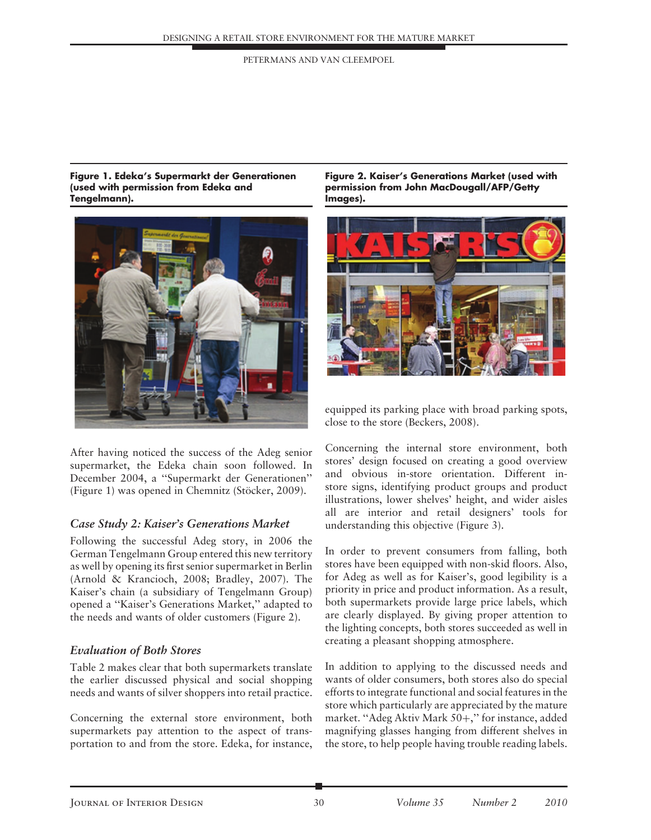### **Figure 1. Edeka's Supermarkt der Generationen (used with permission from Edeka and Tengelmann).**



After having noticed the success of the Adeg senior supermarket, the Edeka chain soon followed. In December 2004, a ''Supermarkt der Generationen'' (Figure 1) was opened in Chemnitz (Stöcker, 2009).

# *Case Study 2: Kaiser's Generations Market*

Following the successful Adeg story, in 2006 the German Tengelmann Group entered this new territory as well by opening its first senior supermarket in Berlin (Arnold & Krancioch, 2008; Bradley, 2007). The Kaiser's chain (a subsidiary of Tengelmann Group) opened a ''Kaiser's Generations Market,'' adapted to the needs and wants of older customers (Figure 2).

# *Evaluation of Both Stores*

Table 2 makes clear that both supermarkets translate the earlier discussed physical and social shopping needs and wants of silver shoppers into retail practice.

Concerning the external store environment, both supermarkets pay attention to the aspect of transportation to and from the store. Edeka, for instance, **Figure 2. Kaiser's Generations Market (used with permission from John MacDougall/AFP/Getty Images).**



equipped its parking place with broad parking spots, close to the store (Beckers, 2008).

Concerning the internal store environment, both stores' design focused on creating a good overview and obvious in-store orientation. Different instore signs, identifying product groups and product illustrations, lower shelves' height, and wider aisles all are interior and retail designers' tools for understanding this objective (Figure 3).

In order to prevent consumers from falling, both stores have been equipped with non-skid floors. Also, for Adeg as well as for Kaiser's, good legibility is a priority in price and product information. As a result, both supermarkets provide large price labels, which are clearly displayed. By giving proper attention to the lighting concepts, both stores succeeded as well in creating a pleasant shopping atmosphere.

In addition to applying to the discussed needs and wants of older consumers, both stores also do special efforts to integrate functional and social features in the store which particularly are appreciated by the mature market. "Adeg Aktiv Mark 50+," for instance, added magnifying glasses hanging from different shelves in the store, to help people having trouble reading labels.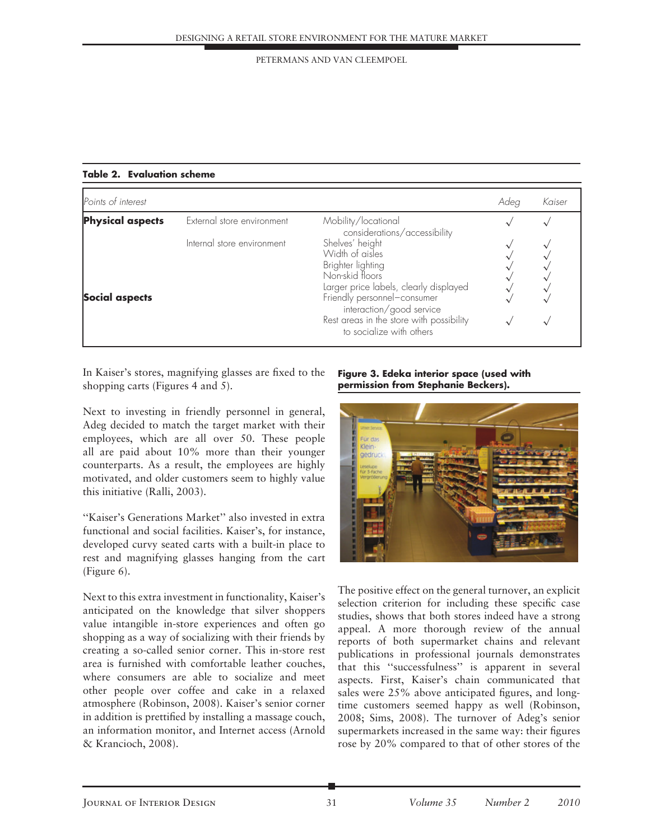### **Table 2. Evaluation scheme**

| Points of interest      |                            |                                                                                                                                                                                                                                                         | Adea | Kaiser |
|-------------------------|----------------------------|---------------------------------------------------------------------------------------------------------------------------------------------------------------------------------------------------------------------------------------------------------|------|--------|
| <b>Physical aspects</b> | External store environment | Mobility/locational<br>considerations/accessibility                                                                                                                                                                                                     |      |        |
| Social aspects          | Internal store environment | Shelves' height<br>Width of aisles<br>Brighter lighting<br>Non-skid floors<br>Larger price labels, clearly displayed<br>Friendly personnel-consumer<br>interaction/good service<br>Rest areas in the store with possibility<br>to socialize with others |      |        |

In Kaiser's stores, magnifying glasses are fixed to the shopping carts (Figures 4 and 5).

Next to investing in friendly personnel in general, Adeg decided to match the target market with their employees, which are all over 50. These people all are paid about 10% more than their younger counterparts. As a result, the employees are highly motivated, and older customers seem to highly value this initiative (Ralli, 2003).

''Kaiser's Generations Market'' also invested in extra functional and social facilities. Kaiser's, for instance, developed curvy seated carts with a built-in place to rest and magnifying glasses hanging from the cart (Figure 6).

Next to this extra investment in functionality, Kaiser's anticipated on the knowledge that silver shoppers value intangible in-store experiences and often go shopping as a way of socializing with their friends by creating a so-called senior corner. This in-store rest area is furnished with comfortable leather couches, where consumers are able to socialize and meet other people over coffee and cake in a relaxed atmosphere (Robinson, 2008). Kaiser's senior corner in addition is prettified by installing a massage couch, an information monitor, and Internet access (Arnold & Krancioch, 2008).

### **Figure 3. Edeka interior space (used with permission from Stephanie Beckers).**



The positive effect on the general turnover, an explicit selection criterion for including these specific case studies, shows that both stores indeed have a strong appeal. A more thorough review of the annual reports of both supermarket chains and relevant publications in professional journals demonstrates that this ''successfulness'' is apparent in several aspects. First, Kaiser's chain communicated that sales were 25% above anticipated figures, and longtime customers seemed happy as well (Robinson, 2008; Sims, 2008). The turnover of Adeg's senior supermarkets increased in the same way: their figures rose by 20% compared to that of other stores of the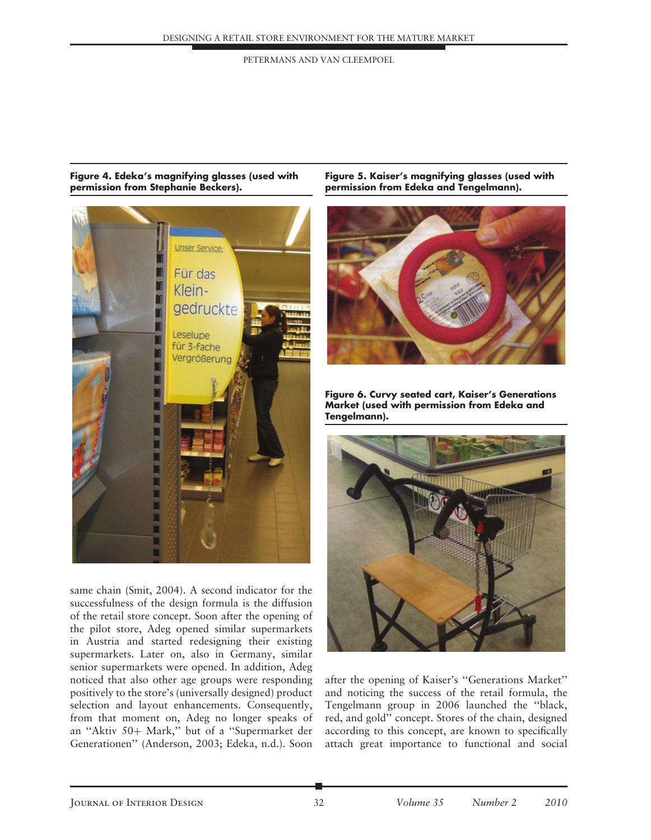### **Figure 4. Edeka's magnifying glasses (used with permission from Stephanie Beckers).**



same chain (Smit, 2004). A second indicator for the successfulness of the design formula is the diffusion of the retail store concept. Soon after the opening of the pilot store, Adeg opened similar supermarkets in Austria and started redesigning their existing supermarkets. Later on, also in Germany, similar senior supermarkets were opened. In addition, Adeg noticed that also other age groups were responding positively to the store's (universally designed) product selection and layout enhancements. Consequently, from that moment on, Adeg no longer speaks of an ''Aktiv 50+ Mark,'' but of a ''Supermarket der Generationen'' (Anderson, 2003; Edeka, n.d.). Soon

**Figure 5. Kaiser's magnifying glasses (used with permission from Edeka and Tengelmann).**



**Figure 6. Curvy seated cart, Kaiser's Generations Market (used with permission from Edeka and Tengelmann).**



after the opening of Kaiser's ''Generations Market'' and noticing the success of the retail formula, the Tengelmann group in 2006 launched the ''black, red, and gold'' concept. Stores of the chain, designed according to this concept, are known to specifically attach great importance to functional and social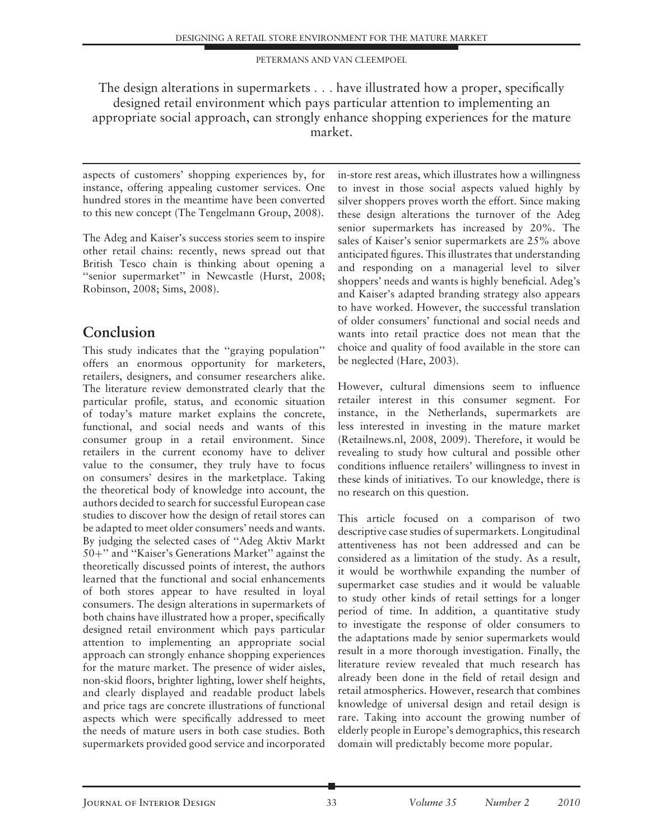The design alterations in supermarkets *...* have illustrated how a proper, specifically designed retail environment which pays particular attention to implementing an appropriate social approach, can strongly enhance shopping experiences for the mature market.

aspects of customers' shopping experiences by, for instance, offering appealing customer services. One hundred stores in the meantime have been converted to this new concept (The Tengelmann Group, 2008).

The Adeg and Kaiser's success stories seem to inspire other retail chains: recently, news spread out that British Tesco chain is thinking about opening a "senior supermarket" in Newcastle (Hurst, 2008; Robinson, 2008; Sims, 2008).

# **Conclusion**

This study indicates that the ''graying population'' offers an enormous opportunity for marketers, retailers, designers, and consumer researchers alike. The literature review demonstrated clearly that the particular profile, status, and economic situation of today's mature market explains the concrete, functional, and social needs and wants of this consumer group in a retail environment. Since retailers in the current economy have to deliver value to the consumer, they truly have to focus on consumers' desires in the marketplace. Taking the theoretical body of knowledge into account, the authors decided to search for successful European case studies to discover how the design of retail stores can be adapted to meet older consumers' needs and wants. By judging the selected cases of ''Adeg Aktiv Markt 50+'' and ''Kaiser's Generations Market'' against the theoretically discussed points of interest, the authors learned that the functional and social enhancements of both stores appear to have resulted in loyal consumers. The design alterations in supermarkets of both chains have illustrated how a proper, specifically designed retail environment which pays particular attention to implementing an appropriate social approach can strongly enhance shopping experiences for the mature market. The presence of wider aisles, non-skid floors, brighter lighting, lower shelf heights, and clearly displayed and readable product labels and price tags are concrete illustrations of functional aspects which were specifically addressed to meet the needs of mature users in both case studies. Both supermarkets provided good service and incorporated

in-store rest areas, which illustrates how a willingness to invest in those social aspects valued highly by silver shoppers proves worth the effort. Since making these design alterations the turnover of the Adeg senior supermarkets has increased by 20%. The sales of Kaiser's senior supermarkets are 25% above anticipated figures. This illustrates that understanding and responding on a managerial level to silver shoppers' needs and wants is highly beneficial. Adeg's and Kaiser's adapted branding strategy also appears to have worked. However, the successful translation of older consumers' functional and social needs and wants into retail practice does not mean that the choice and quality of food available in the store can be neglected (Hare, 2003).

However, cultural dimensions seem to influence retailer interest in this consumer segment. For instance, in the Netherlands, supermarkets are less interested in investing in the mature market (Retailnews.nl, 2008, 2009). Therefore, it would be revealing to study how cultural and possible other conditions influence retailers' willingness to invest in these kinds of initiatives. To our knowledge, there is no research on this question.

This article focused on a comparison of two descriptive case studies of supermarkets. Longitudinal attentiveness has not been addressed and can be considered as a limitation of the study. As a result, it would be worthwhile expanding the number of supermarket case studies and it would be valuable to study other kinds of retail settings for a longer period of time. In addition, a quantitative study to investigate the response of older consumers to the adaptations made by senior supermarkets would result in a more thorough investigation. Finally, the literature review revealed that much research has already been done in the field of retail design and retail atmospherics. However, research that combines knowledge of universal design and retail design is rare. Taking into account the growing number of elderly people in Europe's demographics, this research domain will predictably become more popular.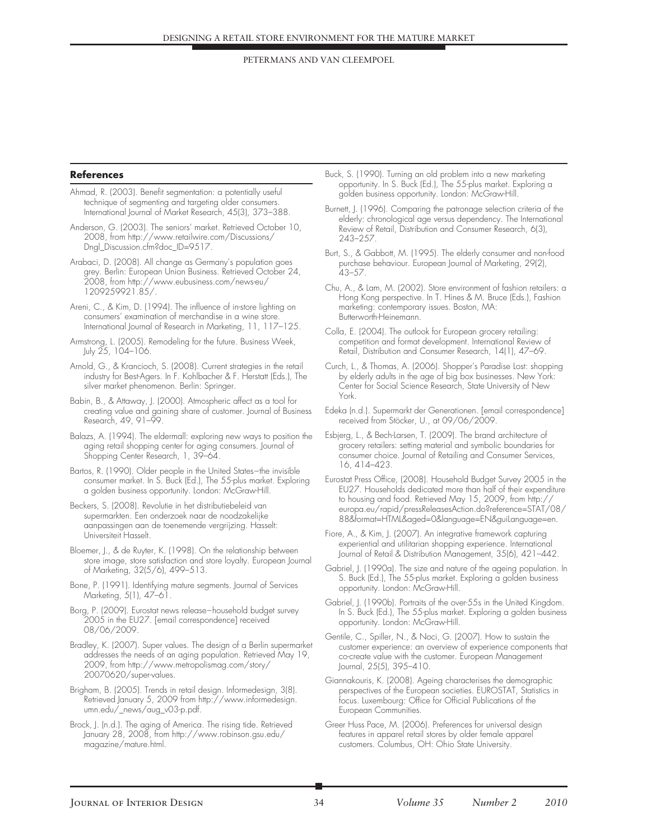### **References**

- Ahmad, R. (2003). Benefit segmentation: a potentially useful technique of segmenting and targeting older consumers. International Journal of Market Research, 45(3), 373–388.
- Anderson, G. (2003). The seniors' market. Retrieved October 10, 2008, from http://www.retailwire.com/Discussions/ Dngl\_Discussion.cfm?doc\_ID=9517.
- Arabaci, D. (2008). All change as Germany's population goes grey. Berlin: European Union Business. Retrieved October 24, 2008, from http://www.eubusiness.com/news-eu/ 1209259921.85/.
- Areni, C., & Kim, D. (1994). The influence of in-store lighting on consumers' examination of merchandise in a wine store. International Journal of Research in Marketing, 11, 117–125.
- Armstrong, L. (2005). Remodeling for the future. Business Week, July 25, 104–106.
- Arnold, G., & Krancioch, S. (2008). Current strategies in the retail industry for Best-Agers. In F. Kohlbacher & F. Herstatt (Eds.), The silver market phenomenon. Berlin: Springer.
- Babin, B., & Attaway, J. (2000). Atmospheric affect as a tool for creating value and gaining share of customer. Journal of Business Research, 49, 91–99.
- Balazs, A. (1994). The eldermall: exploring new ways to position the aging retail shopping center for aging consumers. Journal of Shopping Center Research, 1, 39–64.
- Bartos, R. (1990). Older people in the United States–the invisible consumer market. In S. Buck (Ed.), The 55-plus market. Exploring a golden business opportunity. London: McGraw-Hill.
- Beckers, S. (2008). Revolutie in het distributiebeleid van supermarkten. Een onderzoek naar de noodzakelijke aanpassingen aan de toenemende vergrijzing. Hasselt: Universiteit Hasselt.
- Bloemer, J., & de Ruyter, K. (1998). On the relationship between store image, store satisfaction and store loyalty. European Journal of Marketing, 32(5/6), 499–513.
- Bone, P. (1991). Identifying mature segments. Journal of Services Marketing, 5(1), 47–61.
- Borg, P. (2009). Eurostat news release–household budget survey 2005 in the EU27. [email correspondence] received 08/06/2009.
- Bradley, K. (2007). Super values. The design of a Berlin supermarket addresses the needs of an aging population. Retrieved May 19, 2009, from http://www.metropolismag.com/story/ 20070620/super-values.
- Brigham, B. (2005). Trends in retail design. Informedesign, 3(8). Retrieved January 5, 2009 from http://www.informedesign. umn.edu/\_news/aug\_v03-p.pdf.
- Brock, J. (n.d.). The aging of America. The rising tide. Retrieved January 28, 2008, from http://www.robinson.gsu.edu/ magazine/mature.html.
- Buck, S. (1990). Turning an old problem into a new marketing opportunity. In S. Buck (Ed.), The 55-plus market. Exploring a golden business opportunity. London: McGraw-Hill.
- Burnett, J. (1996). Comparing the patronage selection criteria of the elderly: chronological age versus dependency. The International Review of Retail, Distribution and Consumer Research, 6(3), 243–257.
- Burt, S., & Gabbott, M. (1995). The elderly consumer and non-food purchase behaviour. European Journal of Marketing, 29(2),  $43 - 57$ .
- Chu, A., & Lam, M. (2002). Store environment of fashion retailers: a Hong Kong perspective. In T. Hines & M. Bruce (Eds.), Fashion marketing: contemporary issues. Boston, MA: Butterworth-Heinemann.
- Colla, E. (2004). The outlook for European grocery retailing: competition and format development. International Review of Retail, Distribution and Consumer Research, 14(1), 47–69.
- Curch, L., & Thomas, A. (2006). Shopper's Paradise Lost: shopping by elderly adults in the age of big box businesses. New York: Center for Social Science Research, State University of New York.
- Edeka (n.d.). Supermarkt der Generationen. [email correspondence] received from Stöcker, U., at 09/06/2009.
- Esbjerg, L., & Bech-Larsen, T. (2009). The brand architecture of grocery retailers: setting material and symbolic boundaries for consumer choice. Journal of Retailing and Consumer Services, 16, 414–423.
- Eurostat Press Office, (2008). Household Budget Survey 2005 in the EU27. Households dedicated more than half of their expenditure to housing and food. Retrieved May 15, 2009, from http:// europa.eu/rapid/pressReleasesAction.do?reference=STAT/08/ 88&format=HTML&aged=0&language=EN&guiLanguage=en.
- Fiore, A., & Kim, J. (2007). An integrative framework capturing experiential and utilitarian shopping experience. International Journal of Retail & Distribution Management, 35(6), 421–442.
- Gabriel, J. (1990a). The size and nature of the ageing population. In S. Buck (Ed.), The 55-plus market. Exploring a golden business opportunity. London: McGraw-Hill.
- Gabriel, J. (1990b). Portraits of the over-55s in the United Kingdom. In S. Buck (Ed.), The 55-plus market. Exploring a golden business opportunity. London: McGraw-Hill.
- Gentile, C., Spiller, N., & Noci, G. (2007). How to sustain the customer experience: an overview of experience components that co-create value with the customer. European Management Journal, 25(5), 395–410.
- Giannakouris, K. (2008). Ageing characterises the demographic perspectives of the European societies. EUROSTAT, Statistics in focus. Luxembourg: Office for Official Publications of the European Communities.
- Greer Huss Pace, M. (2006). Preferences for universal design features in apparel retail stores by older female apparel customers. Columbus, OH: Ohio State University.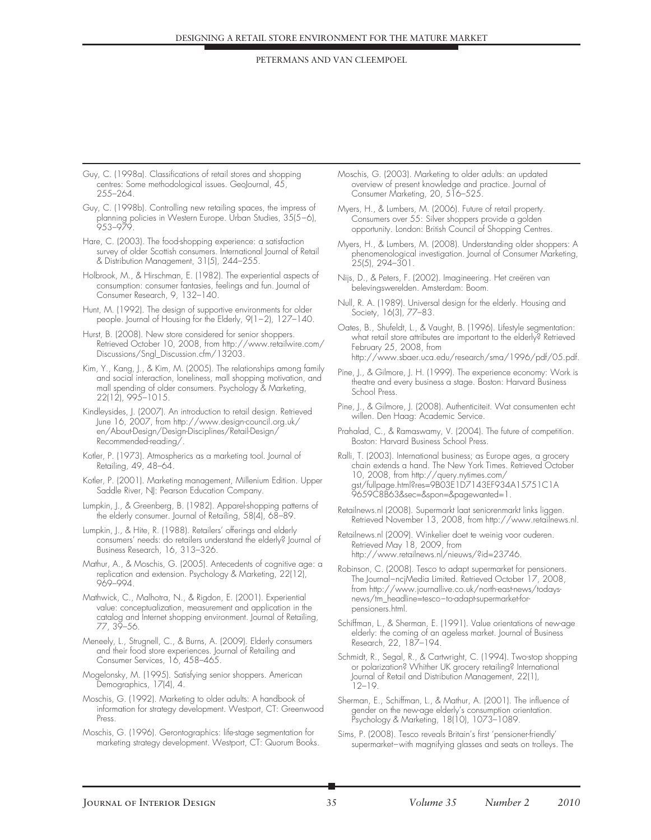- Guy, C. (1998a). Classifications of retail stores and shopping centres: Some methodological issues. GeoJournal, 45, 255–264.
- Guy, C. (1998b). Controlling new retailing spaces, the impress of planning policies in Western Europe. Urban Studies, 35(5–6), 953–979.
- Hare, C. (2003). The food-shopping experience: a satisfaction survey of older Scottish consumers. International Journal of Retail & Distribution Management, 31(5), 244–255.
- Holbrook, M., & Hirschman, E. (1982). The experiential aspects of consumption: consumer fantasies, feelings and fun. Journal of Consumer Research, 9, 132–140.
- Hunt, M. (1992). The design of supportive environments for older people. Journal of Housing for the Elderly, 9(1–2), 127–140.
- Hurst, B. (2008). New store considered for senior shoppers. Retrieved October 10, 2008, from http://www.retailwire.com/ Discussions/Sngl\_Discussion.cfm/13203.
- Kim, Y., Kang, J., & Kim, M. (2005). The relationships among family and social interaction, loneliness, mall shopping motivation, and mall spending of older consumers. Psychology & Marketing, 22(12), 995–1015.
- Kindleysides, J. (2007). An introduction to retail design. Retrieved June 16, 2007, from http://www.design-council.org.uk/ en/About-Design/Design-Disciplines/Retail-Design/ Recommended-reading/.
- Kotler, P. (1973). Atmospherics as a marketing tool. Journal of Retailing, 49, 48–64.
- Kotler, P. (2001). Marketing management, Millenium Edition. Upper Saddle River, NJ: Pearson Education Company.
- Lumpkin, J., & Greenberg, B. (1982). Apparel-shopping patterns of the elderly consumer. Journal of Retailing, 58(4), 68–89.
- Lumpkin, J., & Hite, R. (1988). Retailers' offerings and elderly consumers' needs: do retailers understand the elderly? Journal of Business Research, 16, 313–326.
- Mathur, A., & Moschis, G. (2005). Antecedents of cognitive age: a replication and extension. Psychology & Marketing, 22(12), 969–994.
- Mathwick, C., Malhotra, N., & Rigdon, E. (2001). Experiential value: conceptualization, measurement and application in the catalog and Internet shopping environment. Journal of Retailing, 77, 39–56.
- Meneely, L., Strugnell, C., & Burns, A. (2009). Elderly consumers and their food store experiences. Journal of Retailing and Consumer Services, 16, 458-465.
- Mogelonsky, M. (1995). Satisfying senior shoppers. American Demographics, 17(4), 4.
- Moschis, G. (1992). Marketing to older adults: A handbook of information for strategy development. Westport, CT: Greenwood Press.
- Moschis, G. (1996). Gerontographics: life-stage segmentation for marketing strategy development. Westport, CT: Quorum Books.
- Moschis, G. (2003). Marketing to older adults: an updated overview of present knowledge and practice. Journal of Consumer Marketing, 20, 516–525.
- Myers, H., & Lumbers, M. (2006). Future of retail property. Consumers over 55: Silver shoppers provide a golden opportunity. London: British Council of Shopping Centres.
- Myers, H., & Lumbers, M. (2008). Understanding older shoppers: A phenomenological investigation. Journal of Consumer Marketing, 25(5), 294–301.
- Nijs, D., & Peters, F. (2002). Imagineering. Het creëren van belevingswerelden. Amsterdam: Boom.
- Null, R. A. (1989). Universal design for the elderly. Housing and Society, 16(3), 77–83.
- Oates, B., Shufeldt, L., & Vaught, B. (1996). Lifestyle segmentation: what retail store attributes are important to the elderly? Retrieved February 25, 2008, from http://www.sbaer.uca.edu/research/sma/1996/pdf/05.pdf.
- Pine, J., & Gilmore, J. H. (1999). The experience economy: Work is theatre and every business a stage. Boston: Harvard Business School Press.
- Pine, J., & Gilmore, J. (2008). Authenticiteit. Wat consumenten echt willen. Den Haag: Academic Service.
- Prahalad, C., & Ramaswamy, V. (2004). The future of competition. Boston: Harvard Business School Press.
- Ralli, T. (2003). International business; as Europe ages, a grocery chain extends a hand. The New York Times. Retrieved October 10, 2008, from http://query.nytimes.com/ gst/fullpage.html?res=9B03E1D7143EF934A15751C1A 9659C8B63&sec=&spon=&pagewanted=1.
- Retailnews.nl (2008). Supermarkt laat seniorenmarkt links liggen. Retrieved November 13, 2008, from http://www.retailnews.nl.
- Retailnews.nl (2009). Winkelier doet te weinig voor ouderen. Retrieved May 18, 2009, from http://www.retailnews.nl/nieuws/?id=23746.
- Robinson, C. (2008). Tesco to adapt supermarket for pensioners. The Journal–ncjMedia Limited. Retrieved October 17, 2008, from http://www.journallive.co.uk/north-east-news/todaysnews/tm\_headline=tesco–to-adapt-supermarket-forpensioners.html.
- Schiffman, L., & Sherman, E. (1991). Value orientations of new-age elderly: the coming of an ageless market. Journal of Business Research, 22, 187–194.
- Schmidt, R., Segal, R., & Cartwright, C. (1994). Two-stop shopping or polarization? Whither UK grocery retailing? International Journal of Retail and Distribution Management, 22(1), 12–19.
- Sherman, E., Schiffman, L., & Mathur, A. (2001). The influence of gender on the new-age elderly's consumption orientation. Psychology & Marketing, 18(10), 1073–1089.
- Sims, P. (2008). Tesco reveals Britain's first 'pensioner-friendly' supermarket–with magnifying glasses and seats on trolleys. The